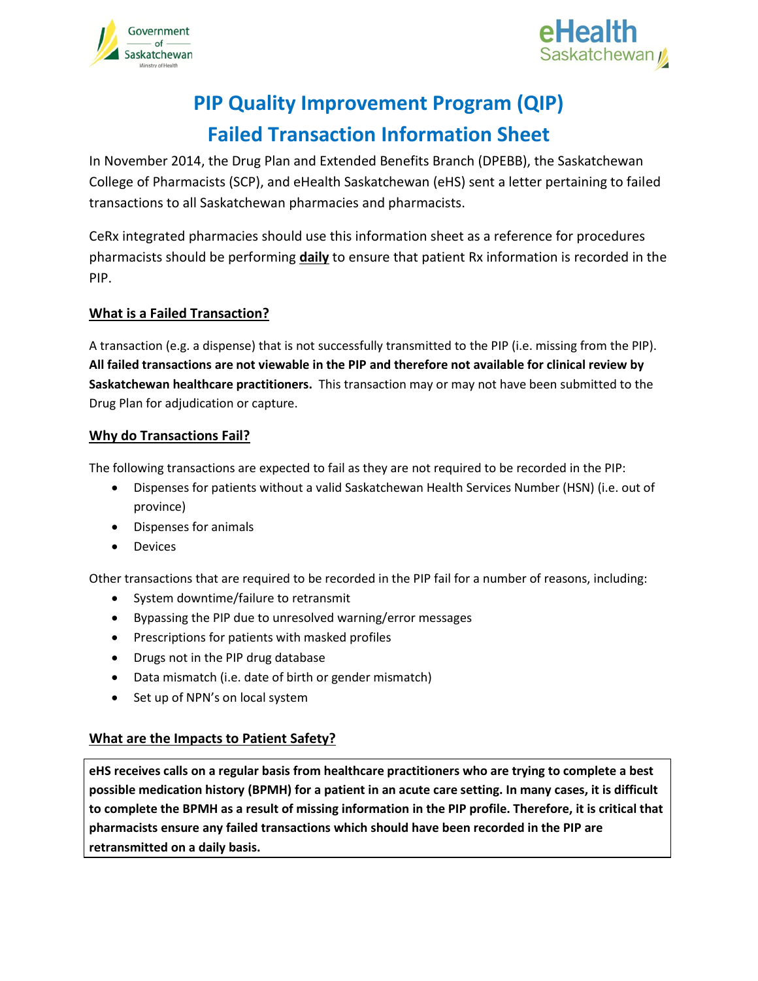



# **PIP Quality Improvement Program (QIP) Failed Transaction Information Sheet**

In November 2014, the Drug Plan and Extended Benefits Branch (DPEBB), the Saskatchewan College of Pharmacists (SCP), and eHealth Saskatchewan (eHS) sent a letter pertaining to failed transactions to all Saskatchewan pharmacies and pharmacists.

CeRx integrated pharmacies should use this information sheet as a reference for procedures pharmacists should be performing **daily** to ensure that patient Rx information is recorded in the PIP.

# **What is a Failed Transaction?**

A transaction (e.g. a dispense) that is not successfully transmitted to the PIP (i.e. missing from the PIP). **All failed transactions are not viewable in the PIP and therefore not available for clinical review by Saskatchewan healthcare practitioners.** This transaction may or may not have been submitted to the Drug Plan for adjudication or capture.

## **Why do Transactions Fail?**

The following transactions are expected to fail as they are not required to be recorded in the PIP:

- Dispenses for patients without a valid Saskatchewan Health Services Number (HSN) (i.e. out of province)
- Dispenses for animals
- **•** Devices

Other transactions that are required to be recorded in the PIP fail for a number of reasons, including:

- System downtime/failure to retransmit
- Bypassing the PIP due to unresolved warning/error messages
- Prescriptions for patients with masked profiles
- Drugs not in the PIP drug database
- Data mismatch (i.e. date of birth or gender mismatch)
- Set up of NPN's on local system

## **What are the Impacts to Patient Safety?**

**eHS receives calls on a regular basis from healthcare practitioners who are trying to complete a best possible medication history (BPMH) for a patient in an acute care setting. In many cases, it is difficult to complete the BPMH as a result of missing information in the PIP profile. Therefore, it is critical that pharmacists ensure any failed transactions which should have been recorded in the PIP are retransmitted on a daily basis.**